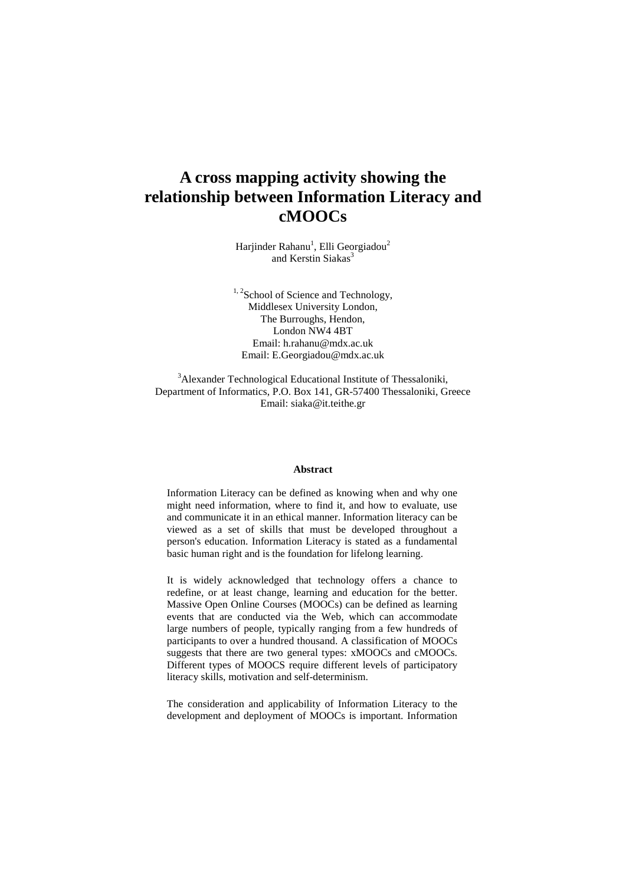# **A cross mapping activity showing the relationship between Information Literacy and cMOOCs**

Harjinder Rahanu<sup>1</sup>, Elli Georgiadou<sup>2</sup> and Kerstin Siakas<sup>3</sup>

 $1, 2$ School of Science and Technology, Middlesex University London, The Burroughs, Hendon, London NW4 4BT Email: h.rahanu@mdx.ac.uk Email: E.Georgiadou@mdx.ac.uk

<sup>3</sup>Alexander Technological Educational Institute of Thessaloniki, Department of Informatics, P.O. Box 141, GR-57400 Thessaloniki, Greece Email: siaka@it.teithe.gr

#### **Abstract**

Information Literacy can be defined as knowing when and why one might need information, where to find it, and how to evaluate, use and communicate it in an ethical manner. Information literacy can be viewed as a set of skills that must be developed throughout a person's education. Information Literacy is stated as a fundamental basic human right and is the foundation for lifelong learning.

It is widely acknowledged that technology offers a chance to redefine, or at least change, learning and education for the better. Massive Open Online Courses (MOOCs) can be defined as learning events that are conducted via the Web, which can accommodate large numbers of people, typically ranging from a few hundreds of participants to over a hundred thousand. A classification of MOOCs suggests that there are two general types: xMOOCs and cMOOCs. Different types of MOOCS require different levels of participatory literacy skills, motivation and self-determinism.

The consideration and applicability of Information Literacy to the development and deployment of MOOCs is important. Information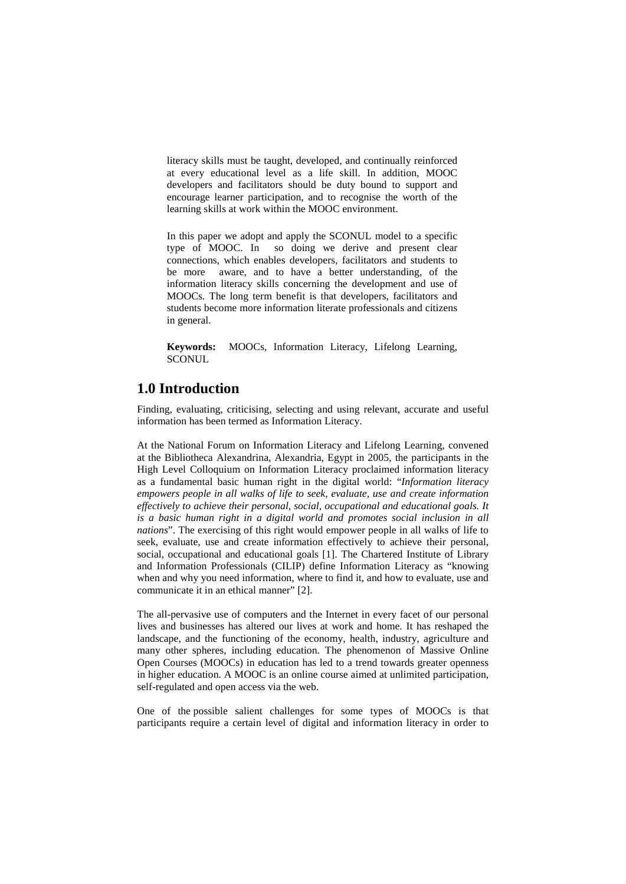literacy skills must be taught, developed, and continually reinforced at every educational level as a life skill. In addition, MOOC developers and facilitators should be duty bound to support and encourage learner participation, and to recognise the worth of the learning skills at work within the MOOC environment.

In this paper we adopt and apply the SCONUL model to a specific type of MOOC. In so doing we derive and present clear connections, which enables developers, facilitators and students to be more aware, and to have a better understanding, of the information literacy skills concerning the development and use of MOOCs. The long term benefit is that developers, facilitators and students become more information literate professionals and citizens in general.

**Keywords:** MOOCs, Information Literacy, Lifelong Learning, **SCONUL** 

## **1.0 Introduction**

Finding, evaluating, criticising, selecting and using relevant, accurate and useful information has been termed as Information Literacy.

At the National Forum on Information Literacy and Lifelong Learning, convened at the Bibliotheca Alexandrina, Alexandria, Egypt in 2005, the participants in the High Level Colloquium on Information Literacy proclaimed information literacy as a fundamental basic human right in the digital world: "*Information literacy empowers people in all walks of life to seek, evaluate, use and create information effectively to achieve their personal, social, occupational and educational goals. It is a basic human right in a digital world and promotes social inclusion in all nations*". The exercising of this right would empower people in all walks of life to seek, evaluate, use and create information effectively to achieve their personal, social, occupational and educational goals [1]. The Chartered Institute of Library and Information Professionals (CILIP) define Information Literacy as "knowing when and why you need information, where to find it, and how to evaluate, use and communicate it in an ethical manner" [2].

The all-pervasive use of computers and the Internet in every facet of our personal lives and businesses has altered our lives at work and home. It has reshaped the landscape, and the functioning of the economy, health, industry, agriculture and many other spheres, including education. The phenomenon of Massive Online Open Courses (MOOCs) in education has led to a trend towards greater openness in higher education. A MOOC is an online course aimed at unlimited participation, self-regulated and open access via the web.

One of the possible salient challenges for some types of MOOCs is that participants require a certain level of digital and information literacy in order to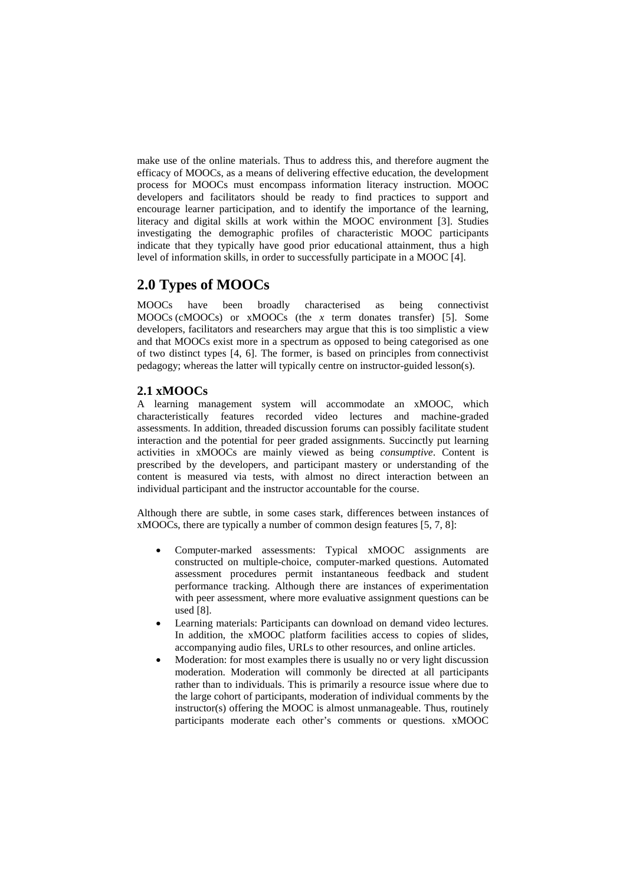make use of the online materials. Thus to address this, and therefore augment the efficacy of MOOCs, as a means of delivering effective education, the development process for MOOCs must encompass information literacy instruction. MOOC developers and facilitators should be ready to find practices to support and encourage learner participation, and to identify the importance of the learning, literacy and digital skills at work within the MOOC environment [3]. Studies investigating the demographic profiles of characteristic MOOC participants indicate that they typically have good prior educational attainment, thus a high level of information skills, in order to successfully participate in a MOOC [4].

# **2.0 Types of MOOCs**

MOOCs have been broadly characterised as being connectivist MOOCs (cMOOCs) or xMOOCs (the *x* term donates transfer) [5]. Some developers, facilitators and researchers may argue that this is too simplistic a view and that MOOCs exist more in a spectrum as opposed to being categorised as one of two distinct types [4, 6]. The former, is based on principles from connectivist pedagogy; whereas the latter will typically centre on instructor-guided lesson(s).

#### **2.1 xMOOCs**

A learning management system will accommodate an xMOOC, which characteristically features recorded video lectures and machine-graded assessments. In addition, threaded discussion forums can possibly facilitate student interaction and the potential for peer graded assignments. Succinctly put learning activities in xMOOCs are mainly viewed as being *consumptive*. Content is prescribed by the developers, and participant mastery or understanding of the content is measured via tests, with almost no direct interaction between an individual participant and the instructor accountable for the course.

Although there are subtle, in some cases stark, differences between instances of xMOOCs, there are typically a number of common design features [5, 7, 8]:

- Computer-marked assessments: Typical xMOOC assignments are constructed on multiple-choice, computer-marked questions. Automated assessment procedures permit instantaneous feedback and student performance tracking. Although there are instances of experimentation with peer assessment, where more evaluative assignment questions can be used [8].
- Learning materials: Participants can download on demand video lectures. In addition, the xMOOC platform facilities access to copies of slides, accompanying audio files, URLs to other resources, and online articles.
- Moderation: for most examples there is usually no or very light discussion moderation. Moderation will commonly be directed at all participants rather than to individuals. This is primarily a resource issue where due to the large cohort of participants, moderation of individual comments by the instructor(s) offering the MOOC is almost unmanageable. Thus, routinely participants moderate each other's comments or questions. xMOOC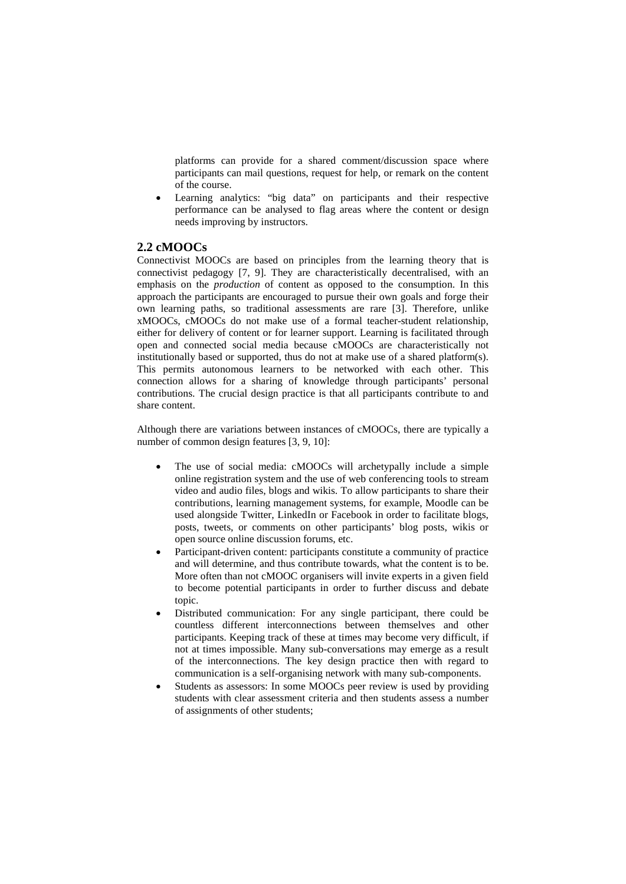platforms can provide for a shared comment/discussion space where participants can mail questions, request for help, or remark on the content of the course.

Learning analytics: "big data" on participants and their respective performance can be analysed to flag areas where the content or design needs improving by instructors.

#### **2.2 cMOOCs**

Connectivist MOOCs are based on principles from the learning theory that is connectivist pedagogy [7, 9]. They are characteristically decentralised, with an emphasis on the *production* of content as opposed to the consumption. In this approach the participants are encouraged to pursue their own goals and forge their own learning paths, so traditional assessments are rare [3]. Therefore, unlike xMOOCs, cMOOCs do not make use of a formal teacher-student relationship, either for delivery of content or for learner support. Learning is facilitated through open and connected social media because cMOOCs are characteristically not institutionally based or supported, thus do not at make use of a shared platform(s). This permits autonomous learners to be networked with each other. This connection allows for a sharing of knowledge through participants' personal contributions. The crucial design practice is that all participants contribute to and share content.

Although there are variations between instances of cMOOCs, there are typically a number of common design features [3, 9, 10]:

- The use of social media: cMOOCs will archetypally include a simple online registration system and the use of web conferencing tools to stream video and audio files, blogs and wikis. To allow participants to share their contributions, learning management systems, for example, Moodle can be used alongside Twitter, LinkedIn or Facebook in order to facilitate blogs, posts, tweets, or comments on other participants' blog posts, wikis or open source online discussion forums, etc.
- Participant-driven content: participants constitute a community of practice and will determine, and thus contribute towards, what the content is to be. More often than not cMOOC organisers will invite experts in a given field to become potential participants in order to further discuss and debate topic.
- Distributed communication: For any single participant, there could be countless different interconnections between themselves and other participants. Keeping track of these at times may become very difficult, if not at times impossible. Many sub-conversations may emerge as a result of the interconnections. The key design practice then with regard to communication is a self-organising network with many sub-components.
- Students as assessors: In some MOOCs peer review is used by providing students with clear assessment criteria and then students assess a number of assignments of other students;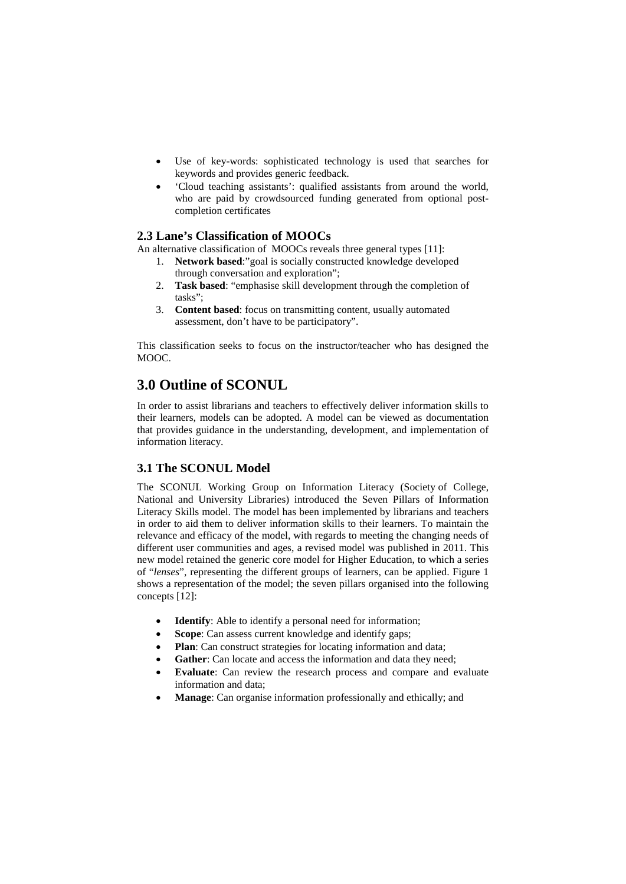- Use of key-words: sophisticated technology is used that searches for keywords and provides generic feedback.
- 'Cloud teaching assistants': qualified assistants from around the world, who are paid by crowdsourced funding generated from optional postcompletion certificates

### **2.3 Lane's Classification of MOOCs**

An alternative classification of MOOCs reveals three general types [11]:

- 1. **Network based**:"goal is socially constructed knowledge developed through conversation and exploration";
- 2. **Task based**: "emphasise skill development through the completion of tasks";
- 3. **Content based**: focus on transmitting content, usually automated assessment, don't have to be participatory".

This classification seeks to focus on the instructor/teacher who has designed the MOOC.

# **3.0 Outline of SCONUL**

In order to assist librarians and teachers to effectively deliver information skills to their learners, models can be adopted. A model can be viewed as documentation that provides guidance in the understanding, development, and implementation of information literacy.

### **3.1 The SCONUL Model**

The SCONUL Working Group on Information Literacy (Society of College, National and University Libraries) introduced the Seven Pillars of Information Literacy Skills model. The model has been implemented by librarians and teachers in order to aid them to deliver information skills to their learners. To maintain the relevance and efficacy of the model, with regards to meeting the changing needs of different user communities and ages, a revised model was published in 2011. This new model retained the generic core model for Higher Education, to which a series of "*lenses*", representing the different groups of learners, can be applied. Figure 1 shows a representation of the model; the seven pillars organised into the following concepts [12]:

- **Identify**: Able to identify a personal need for information;
- **Scope**: Can assess current knowledge and identify gaps;
- **Plan**: Can construct strategies for locating information and data;
- Gather: Can locate and access the information and data they need;
- **Evaluate**: Can review the research process and compare and evaluate information and data;
- **Manage**: Can organise information professionally and ethically; and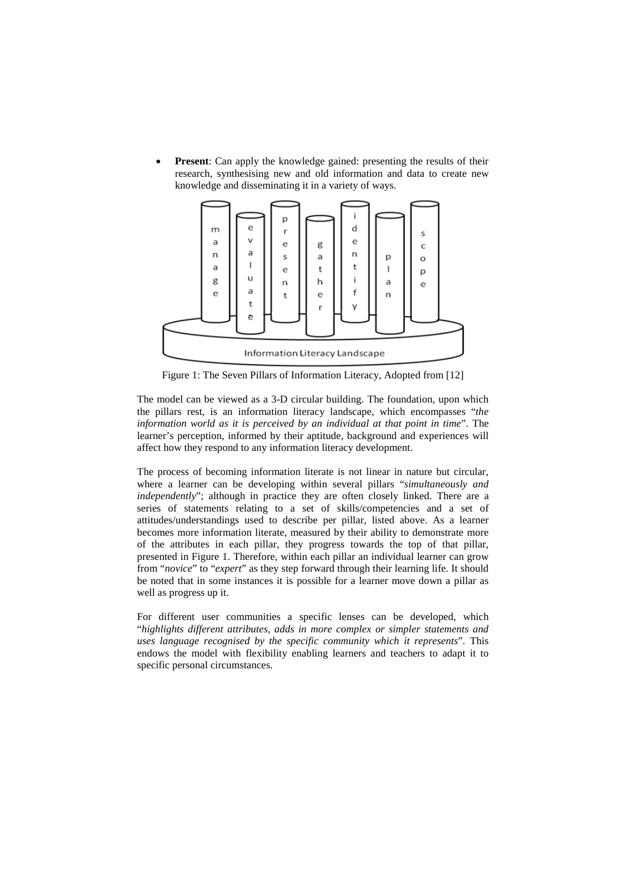**Present**: Can apply the knowledge gained: presenting the results of their research, synthesising new and old information and data to create new knowledge and disseminating it in a variety of ways.



Figure 1: The Seven Pillars of Information Literacy, Adopted from [12]

The model can be viewed as a 3-D circular building. The foundation, upon which the pillars rest, is an information literacy landscape, which encompasses "*the information world as it is perceived by an individual at that point in time*". The learner's perception, informed by their aptitude, background and experiences will affect how they respond to any information literacy development.

The process of becoming information literate is not linear in nature but circular, where a learner can be developing within several pillars "*simultaneously and independently*"; although in practice they are often closely linked. There are a series of statements relating to a set of skills/competencies and a set of attitudes/understandings used to describe per pillar, listed above. As a learner becomes more information literate, measured by their ability to demonstrate more of the attributes in each pillar, they progress towards the top of that pillar, presented in Figure 1. Therefore, within each pillar an individual learner can grow from "*novice*" to "*expert*" as they step forward through their learning life. It should be noted that in some instances it is possible for a learner move down a pillar as well as progress up it.

For different user communities a specific lenses can be developed, which "*highlights different attributes, adds in more complex or simpler statements and uses language recognised by the specific community which it represents*". This endows the model with flexibility enabling learners and teachers to adapt it to specific personal circumstances.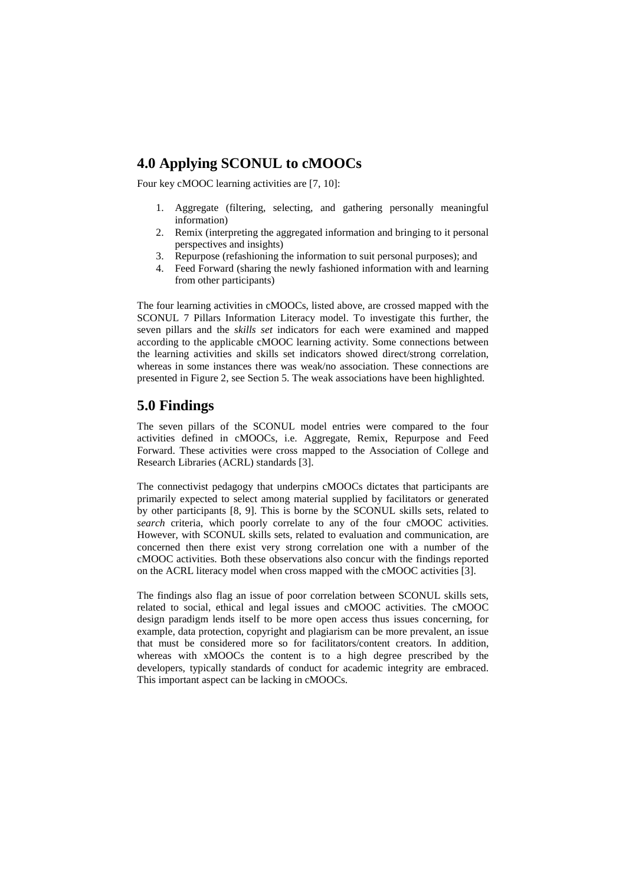# **4.0 Applying SCONUL to cMOOCs**

Four key cMOOC learning activities are [7, 10]:

- 1. Aggregate (filtering, selecting, and gathering personally meaningful information)
- 2. Remix (interpreting the aggregated information and bringing to it personal perspectives and insights)
- 3. Repurpose (refashioning the information to suit personal purposes); and
- 4. Feed Forward (sharing the newly fashioned information with and learning from other participants)

The four learning activities in cMOOCs, listed above, are crossed mapped with the SCONUL 7 Pillars Information Literacy model. To investigate this further, the seven pillars and the *skills set* indicators for each were examined and mapped according to the applicable cMOOC learning activity. Some connections between the learning activities and skills set indicators showed direct/strong correlation, whereas in some instances there was weak/no association. These connections are presented in Figure 2, see Section 5. The weak associations have been highlighted.

## **5.0 Findings**

The seven pillars of the SCONUL model entries were compared to the four activities defined in cMOOCs, i.e. Aggregate, Remix, Repurpose and Feed Forward. These activities were cross mapped to the Association of College and Research Libraries (ACRL) standards [3].

The connectivist pedagogy that underpins cMOOCs dictates that participants are primarily expected to select among material supplied by facilitators or generated by other participants [8, 9]. This is borne by the SCONUL skills sets, related to *search* criteria, which poorly correlate to any of the four cMOOC activities. However, with SCONUL skills sets, related to evaluation and communication, are concerned then there exist very strong correlation one with a number of the cMOOC activities. Both these observations also concur with the findings reported on the ACRL literacy model when cross mapped with the cMOOC activities [3].

The findings also flag an issue of poor correlation between SCONUL skills sets, related to social, ethical and legal issues and cMOOC activities. The cMOOC design paradigm lends itself to be more open access thus issues concerning, for example, data protection, copyright and plagiarism can be more prevalent, an issue that must be considered more so for facilitators/content creators. In addition, whereas with xMOOCs the content is to a high degree prescribed by the developers, typically standards of conduct for academic integrity are embraced. This important aspect can be lacking in cMOOCs.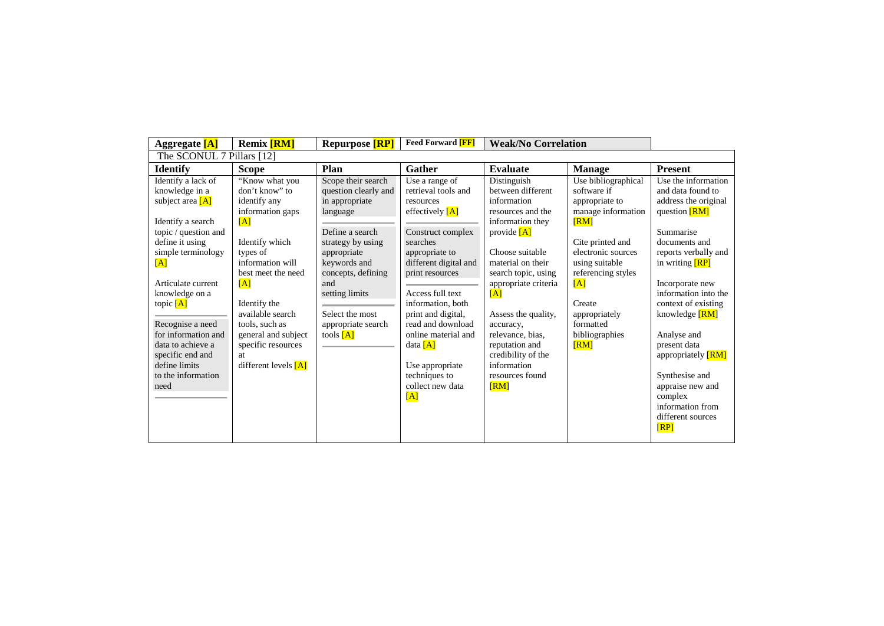| Aggregate [A]                                                                                                                                                                                                                                                                                                                                     | <b>Remix [RM]</b>                                                                                                                                                                                                                                                                             | <b>Repurpose</b> [RP]                                                                                                                                                                                                                                  | <b>Feed Forward [FF]</b>                                                                                                                                                                                                                                                                                                                                       | <b>Weak/No Correlation</b>                                                                                                                                                                                                                                                                                                                        |                                                                                                                                                                                                                                               |                                                                                                                                                                                                                                                                                                                                                                                        |  |  |  |  |
|---------------------------------------------------------------------------------------------------------------------------------------------------------------------------------------------------------------------------------------------------------------------------------------------------------------------------------------------------|-----------------------------------------------------------------------------------------------------------------------------------------------------------------------------------------------------------------------------------------------------------------------------------------------|--------------------------------------------------------------------------------------------------------------------------------------------------------------------------------------------------------------------------------------------------------|----------------------------------------------------------------------------------------------------------------------------------------------------------------------------------------------------------------------------------------------------------------------------------------------------------------------------------------------------------------|---------------------------------------------------------------------------------------------------------------------------------------------------------------------------------------------------------------------------------------------------------------------------------------------------------------------------------------------------|-----------------------------------------------------------------------------------------------------------------------------------------------------------------------------------------------------------------------------------------------|----------------------------------------------------------------------------------------------------------------------------------------------------------------------------------------------------------------------------------------------------------------------------------------------------------------------------------------------------------------------------------------|--|--|--|--|
| The SCONUL 7 Pillars [12]                                                                                                                                                                                                                                                                                                                         |                                                                                                                                                                                                                                                                                               |                                                                                                                                                                                                                                                        |                                                                                                                                                                                                                                                                                                                                                                |                                                                                                                                                                                                                                                                                                                                                   |                                                                                                                                                                                                                                               |                                                                                                                                                                                                                                                                                                                                                                                        |  |  |  |  |
| <b>Identify</b>                                                                                                                                                                                                                                                                                                                                   | <b>Scope</b>                                                                                                                                                                                                                                                                                  | Plan                                                                                                                                                                                                                                                   | <b>Gather</b>                                                                                                                                                                                                                                                                                                                                                  | <b>Evaluate</b>                                                                                                                                                                                                                                                                                                                                   | <b>Manage</b>                                                                                                                                                                                                                                 | <b>Present</b>                                                                                                                                                                                                                                                                                                                                                                         |  |  |  |  |
| Identify a lack of<br>knowledge in a<br>subject area $[A]$<br>Identify a search<br>topic / question and<br>define it using<br>simple terminology<br>[A]<br>Articulate current<br>knowledge on a<br>topic $[A]$<br>Recognise a need<br>for information and<br>data to achieve a<br>specific end and<br>define limits<br>to the information<br>need | "Know what you<br>don't know" to<br>identify any<br>information gaps<br>[A]<br>Identify which<br>types of<br>information will<br>best meet the need<br>[A]<br>Identify the<br>available search<br>tools, such as<br>general and subject<br>specific resources<br>at<br>different levels $[A]$ | Scope their search<br>question clearly and<br>in appropriate<br>language<br>Define a search<br>strategy by using<br>appropriate<br>keywords and<br>concepts, defining<br>and<br>setting limits<br>Select the most<br>appropriate search<br>tools $[A]$ | Use a range of<br>retrieval tools and<br>resources<br>effectively $[A]$<br>Construct complex<br>searches<br>appropriate to<br>different digital and<br>print resources<br>Access full text<br>information, both<br>print and digital,<br>read and download<br>online material and<br>data $[A]$<br>Use appropriate<br>techniques to<br>collect new data<br>[A] | Distinguish<br>between different<br>information<br>resources and the<br>information they<br>provide $[A]$<br>Choose suitable<br>material on their<br>search topic, using<br>appropriate criteria<br>[A]<br>Assess the quality,<br>accuracy,<br>relevance, bias.<br>reputation and<br>credibility of the<br>information<br>resources found<br>[RM] | Use bibliographical<br>software if<br>appropriate to<br>manage information<br>[RM]<br>Cite printed and<br>electronic sources<br>using suitable<br>referencing styles<br>[A]<br>Create<br>appropriately<br>formatted<br>bibliographies<br>[RM] | Use the information<br>and data found to<br>address the original<br>question [RM]<br>Summarise<br>documents and<br>reports verbally and<br>in writing <b>[RP]</b><br>Incorporate new<br>information into the<br>context of existing<br>knowledge [RM]<br>Analyse and<br>present data<br>appropriately <b>[RM]</b><br>Synthesise and<br>appraise new and<br>complex<br>information from |  |  |  |  |
|                                                                                                                                                                                                                                                                                                                                                   |                                                                                                                                                                                                                                                                                               |                                                                                                                                                                                                                                                        |                                                                                                                                                                                                                                                                                                                                                                |                                                                                                                                                                                                                                                                                                                                                   |                                                                                                                                                                                                                                               | different sources<br>[RP]                                                                                                                                                                                                                                                                                                                                                              |  |  |  |  |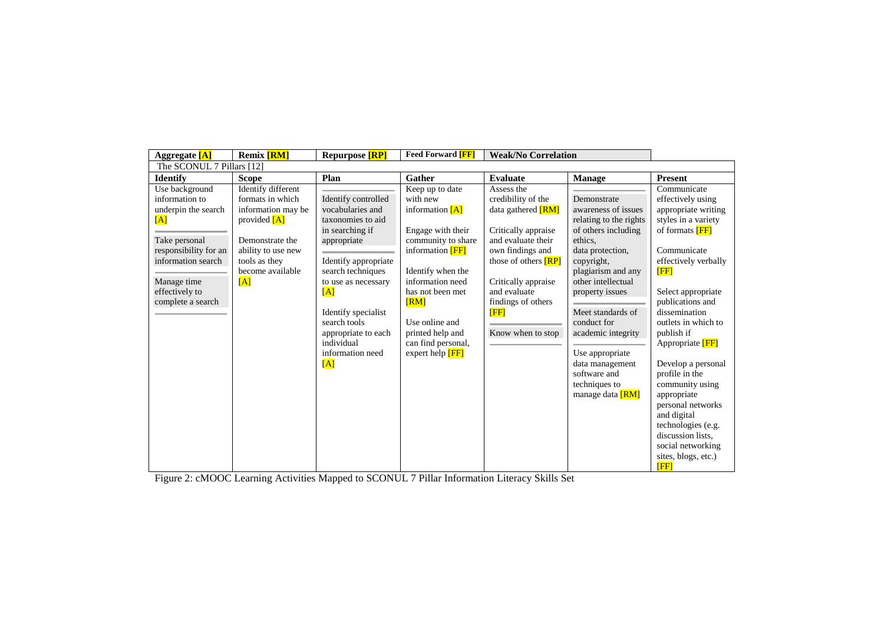| Aggregate [A]                                                                                                                                                                        | <b>Remix</b> [RM]                                                                                                                                                   | <b>Repurpose</b> [RP]                                                                                                                                                                                                                                                            | <b>Feed Forward [FF]</b>                                                                                                                                                                                                                                                                | <b>Weak/No Correlation</b>                                                                                                                                                                                                                       |                                                                                                                                                                                                                                                                                                                                                      |                                                                                                                                                                                                                                                                                                                                                                                                                                                                                                             |  |  |  |  |
|--------------------------------------------------------------------------------------------------------------------------------------------------------------------------------------|---------------------------------------------------------------------------------------------------------------------------------------------------------------------|----------------------------------------------------------------------------------------------------------------------------------------------------------------------------------------------------------------------------------------------------------------------------------|-----------------------------------------------------------------------------------------------------------------------------------------------------------------------------------------------------------------------------------------------------------------------------------------|--------------------------------------------------------------------------------------------------------------------------------------------------------------------------------------------------------------------------------------------------|------------------------------------------------------------------------------------------------------------------------------------------------------------------------------------------------------------------------------------------------------------------------------------------------------------------------------------------------------|-------------------------------------------------------------------------------------------------------------------------------------------------------------------------------------------------------------------------------------------------------------------------------------------------------------------------------------------------------------------------------------------------------------------------------------------------------------------------------------------------------------|--|--|--|--|
| The SCONUL 7 Pillars [12]                                                                                                                                                            |                                                                                                                                                                     |                                                                                                                                                                                                                                                                                  |                                                                                                                                                                                                                                                                                         |                                                                                                                                                                                                                                                  |                                                                                                                                                                                                                                                                                                                                                      |                                                                                                                                                                                                                                                                                                                                                                                                                                                                                                             |  |  |  |  |
| <b>Identify</b>                                                                                                                                                                      | <b>Scope</b>                                                                                                                                                        | Plan                                                                                                                                                                                                                                                                             | <b>Gather</b>                                                                                                                                                                                                                                                                           | Evaluate                                                                                                                                                                                                                                         | <b>Manage</b>                                                                                                                                                                                                                                                                                                                                        | <b>Present</b>                                                                                                                                                                                                                                                                                                                                                                                                                                                                                              |  |  |  |  |
| Use background<br>information to<br>underpin the search<br>[A]<br>Take personal<br>responsibility for an<br>information search<br>Manage time<br>effectively to<br>complete a search | Identify different<br>formats in which<br>information may be<br>provided $[A]$<br>Demonstrate the<br>ability to use new<br>tools as they<br>become available<br>[A] | Identify controlled<br>vocabularies and<br>taxonomies to aid<br>in searching if<br>appropriate<br>Identify appropriate<br>search techniques<br>to use as necessary<br>[A]<br>Identify specialist<br>search tools<br>appropriate to each<br>individual<br>information need<br>[A] | Keep up to date<br>with new<br>information $[A]$<br>Engage with their<br>community to share<br>information <b>[FF]</b><br>Identify when the<br>information need<br>has not been met<br>$\sqrt{RM}$<br>Use online and<br>printed help and<br>can find personal,<br>expert help <b>FF</b> | Assess the<br>credibility of the<br>data gathered [RM]<br>Critically appraise<br>and evaluate their<br>own findings and<br>those of others <b>[RP]</b><br>Critically appraise<br>and evaluate<br>findings of others<br>[FF]<br>Know when to stop | Demonstrate<br>awareness of issues<br>relating to the rights<br>of others including<br>ethics.<br>data protection,<br>copyright,<br>plagiarism and any<br>other intellectual<br>property issues<br>Meet standards of<br>conduct for<br>academic integrity<br>Use appropriate<br>data management<br>software and<br>techniques to<br>manage data [RM] | Communicate<br>effectively using<br>appropriate writing<br>styles in a variety<br>of formats <b>[FF]</b><br>Communicate<br>effectively verbally<br><b>FFF1</b><br>Select appropriate<br>publications and<br>dissemination<br>outlets in which to<br>publish if<br>Appropriate <b>FF</b><br>Develop a personal<br>profile in the<br>community using<br>appropriate<br>personal networks<br>and digital<br>technologies (e.g.<br>discussion lists.<br>social networking<br>sites, blogs, etc.)<br><b>FFF1</b> |  |  |  |  |

Figure 2: cMOOC Learning Activities Mapped to SCONUL 7 Pillar Information Literacy Skills Set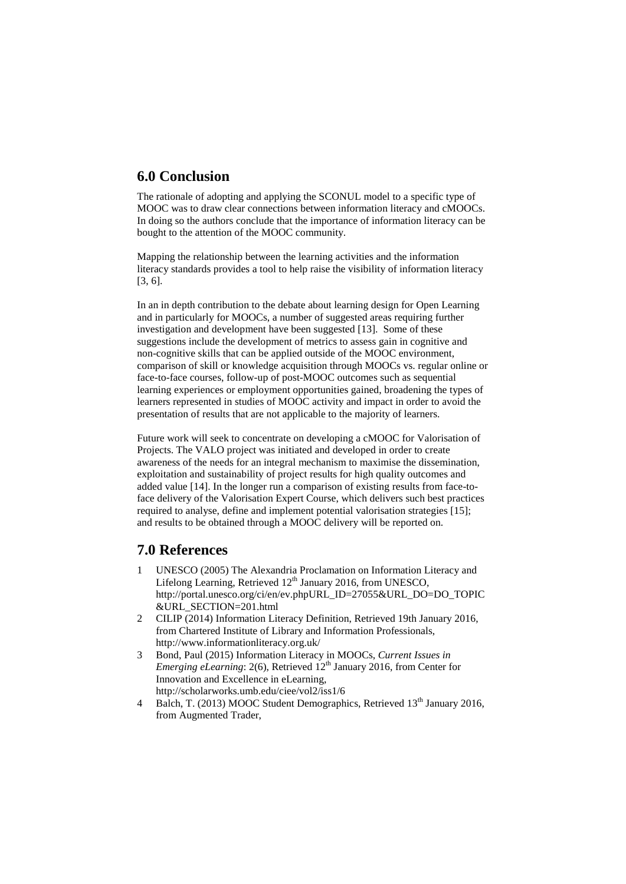# **6.0 Conclusion**

The rationale of adopting and applying the SCONUL model to a specific type of MOOC was to draw clear connections between information literacy and cMOOCs. In doing so the authors conclude that the importance of information literacy can be bought to the attention of the MOOC community.

Mapping the relationship between the learning activities and the information literacy standards provides a tool to help raise the visibility of information literacy [3, 6].

In an in depth contribution to the debate about learning design for Open Learning and in particularly for MOOCs, a number of suggested areas requiring further investigation and development have been suggested [13]. Some of these suggestions include the development of metrics to assess gain in cognitive and non-cognitive skills that can be applied outside of the MOOC environment, comparison of skill or knowledge acquisition through MOOCs vs. regular online or face-to-face courses, follow-up of post-MOOC outcomes such as sequential learning experiences or employment opportunities gained, broadening the types of learners represented in studies of MOOC activity and impact in order to avoid the presentation of results that are not applicable to the majority of learners.

Future work will seek to concentrate on developing a cMOOC for Valorisation of Projects. The VALO project was initiated and developed in order to create awareness of the needs for an integral mechanism to maximise the dissemination, exploitation and sustainability of project results for high quality outcomes and added value [14]. In the longer run a comparison of existing results from face-toface delivery of the Valorisation Expert Course, which delivers such best practices required to analyse, define and implement potential valorisation strategies [15]; and results to be obtained through a MOOC delivery will be reported on.

## **7.0 References**

- 1 UNESCO (2005) The Alexandria Proclamation on Information Literacy and Lifelong Learning, Retrieved  $12<sup>th</sup>$  January 2016, from UNESCO, http://portal.unesco.org/ci/en/ev.phpURL\_ID=27055&URL\_DO=DO\_TOPIC &URL\_SECTION=201.html
- 2 CILIP (2014) Information Literacy Definition, Retrieved 19th January 2016, from Chartered Institute of Library and Information Professionals, http://www.informationliteracy.org.uk/
- 3 Bond, Paul (2015) Information Literacy in MOOCs, *Current Issues in Emerging eLearning*: 2(6), Retrieved 12<sup>th</sup> January 2016, from Center for Innovation and Excellence in eLearning, http://scholarworks.umb.edu/ciee/vol2/iss1/6
- 4 Balch, T. (2013) MOOC Student Demographics, Retrieved 13<sup>th</sup> January 2016. from Augmented Trader,